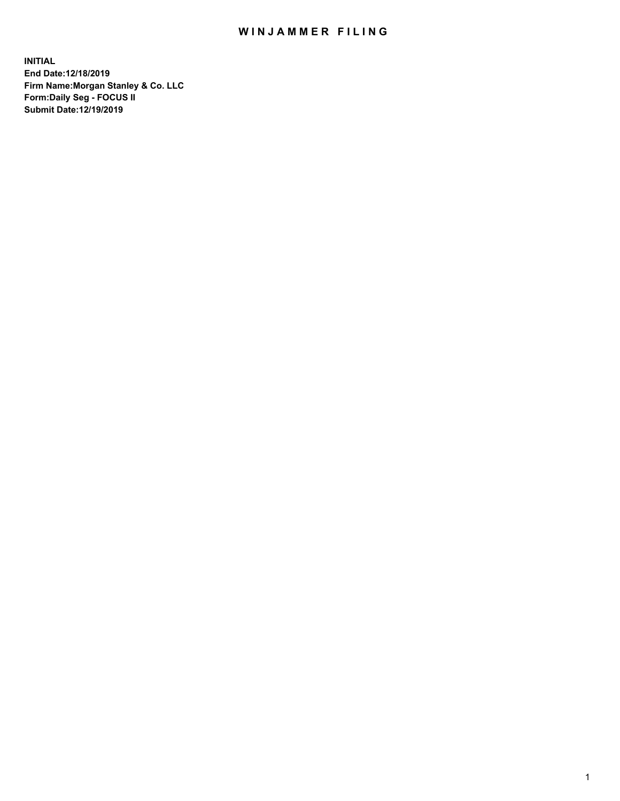## WIN JAMMER FILING

**INITIAL End Date:12/18/2019 Firm Name:Morgan Stanley & Co. LLC Form:Daily Seg - FOCUS II Submit Date:12/19/2019**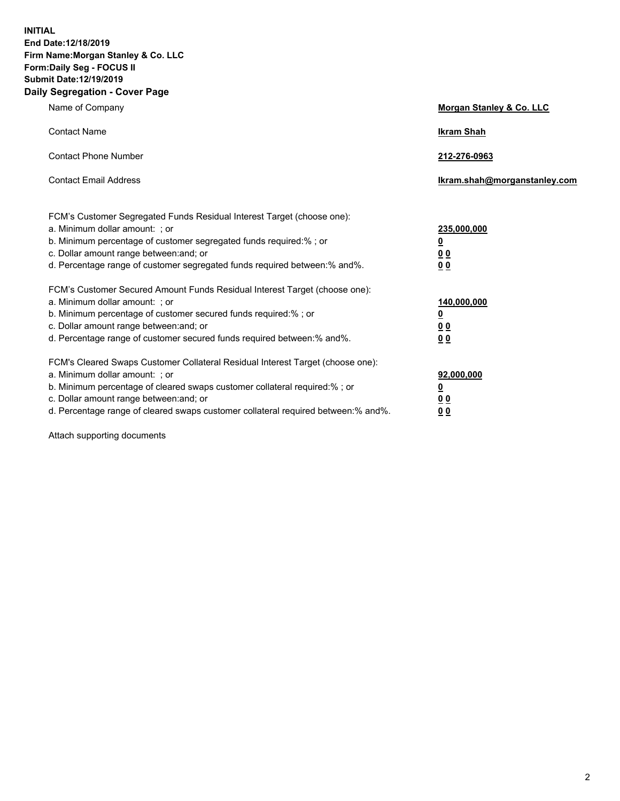**INITIAL End Date:12/18/2019 Firm Name:Morgan Stanley & Co. LLC Form:Daily Seg - FOCUS II Submit Date:12/19/2019 Daily Segregation - Cover Page**

| Name of Company                                                                                                                                                                                                                                                                                                                | Morgan Stanley & Co. LLC                               |
|--------------------------------------------------------------------------------------------------------------------------------------------------------------------------------------------------------------------------------------------------------------------------------------------------------------------------------|--------------------------------------------------------|
| <b>Contact Name</b>                                                                                                                                                                                                                                                                                                            | <b>Ikram Shah</b>                                      |
| <b>Contact Phone Number</b>                                                                                                                                                                                                                                                                                                    | 212-276-0963                                           |
| <b>Contact Email Address</b>                                                                                                                                                                                                                                                                                                   | Ikram.shah@morganstanley.com                           |
| FCM's Customer Segregated Funds Residual Interest Target (choose one):<br>a. Minimum dollar amount: ; or<br>b. Minimum percentage of customer segregated funds required:% ; or<br>c. Dollar amount range between: and; or<br>d. Percentage range of customer segregated funds required between:% and%.                         | 235,000,000<br><u>0</u><br><u>00</u><br>0 <sub>0</sub> |
| FCM's Customer Secured Amount Funds Residual Interest Target (choose one):<br>a. Minimum dollar amount: ; or<br>b. Minimum percentage of customer secured funds required:% ; or<br>c. Dollar amount range between: and; or<br>d. Percentage range of customer secured funds required between:% and%.                           | 140,000,000<br><u>0</u><br><u>00</u><br>00             |
| FCM's Cleared Swaps Customer Collateral Residual Interest Target (choose one):<br>a. Minimum dollar amount: ; or<br>b. Minimum percentage of cleared swaps customer collateral required:% ; or<br>c. Dollar amount range between: and; or<br>d. Percentage range of cleared swaps customer collateral required between:% and%. | 92,000,000<br><u>0</u><br><u>00</u><br>00              |

Attach supporting documents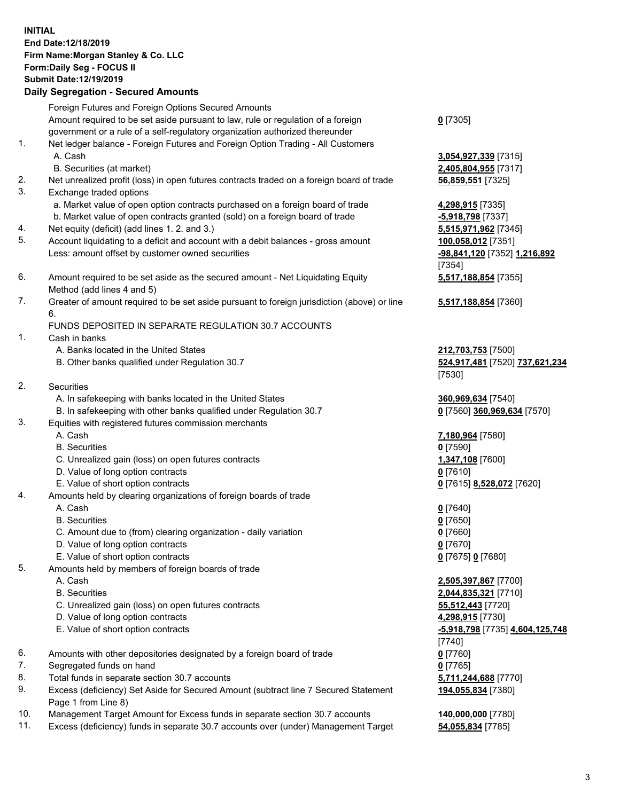## **INITIAL End Date:12/18/2019 Firm Name:Morgan Stanley & Co. LLC Form:Daily Seg - FOCUS II Submit Date:12/19/2019**

## **Daily Segregation - Secured Amounts**

Foreign Futures and Foreign Options Secured Amounts Amount required to be set aside pursuant to law, rule or regulation of a foreign government or a rule of a self-regulatory organization authorized thereunder 1. Net ledger balance - Foreign Futures and Foreign Option Trading - All Customers A. Cash **3,054,927,339** [7315] B. Securities (at market) **2,405,804,955** [7317] 2. Net unrealized profit (loss) in open futures contracts traded on a foreign board of trade **56,859,551** [7325] 3. Exchange traded options a. Market value of open option contracts purchased on a foreign board of trade **4,298,915** [7335] b. Market value of open contracts granted (sold) on a foreign board of trade **-5,918,798** [7337] 4. Net equity (deficit) (add lines 1. 2. and 3.) **5,515,971,962** [7345] 5. Account liquidating to a deficit and account with a debit balances - gross amount **100,058,012** [7351]

- Less: amount offset by customer owned securities **-98,841,120** [7352] **1,216,892**
- 6. Amount required to be set aside as the secured amount Net Liquidating Equity Method (add lines 4 and 5)
- 7. Greater of amount required to be set aside pursuant to foreign jurisdiction (above) or line 6.

## FUNDS DEPOSITED IN SEPARATE REGULATION 30.7 ACCOUNTS

- 1. Cash in banks
	- A. Banks located in the United States **212,703,753** [7500]
	- B. Other banks qualified under Regulation 30.7 **524,917,481** [7520] **737,621,234**
- 2. Securities
	- A. In safekeeping with banks located in the United States **360,969,634** [7540]
	- B. In safekeeping with other banks qualified under Regulation 30.7 **0** [7560] **360,969,634** [7570]
- 3. Equities with registered futures commission merchants
	-
	- B. Securities **0** [7590]
	- C. Unrealized gain (loss) on open futures contracts **1,347,108** [7600]
	- D. Value of long option contracts **0** [7610]
- E. Value of short option contracts **0** [7615] **8,528,072** [7620]
- 4. Amounts held by clearing organizations of foreign boards of trade
	- A. Cash **0** [7640]
	- B. Securities **0** [7650]
	- C. Amount due to (from) clearing organization daily variation **0** [7660]
	- D. Value of long option contracts **0** [7670]
	- E. Value of short option contracts **0** [7675] **0** [7680]
- 5. Amounts held by members of foreign boards of trade
	-
	-
	- C. Unrealized gain (loss) on open futures contracts **55,512,443** [7720]
	- D. Value of long option contracts **4,298,915** [7730]
	- E. Value of short option contracts **-5,918,798** [7735] **4,604,125,748**
- 6. Amounts with other depositories designated by a foreign board of trade **0** [7760]
- 7. Segregated funds on hand **0** [7765]
- 8. Total funds in separate section 30.7 accounts **5,711,244,688** [7770]
- 9. Excess (deficiency) Set Aside for Secured Amount (subtract line 7 Secured Statement Page 1 from Line 8)
- 10. Management Target Amount for Excess funds in separate section 30.7 accounts **140,000,000** [7780]
- 11. Excess (deficiency) funds in separate 30.7 accounts over (under) Management Target **54,055,834** [7785]

**0** [7305]

[7354] **5,517,188,854** [7355]

**5,517,188,854** [7360]

[7530]

A. Cash **7,180,964** [7580]

 A. Cash **2,505,397,867** [7700] B. Securities **2,044,835,321** [7710] [7740] **194,055,834** [7380]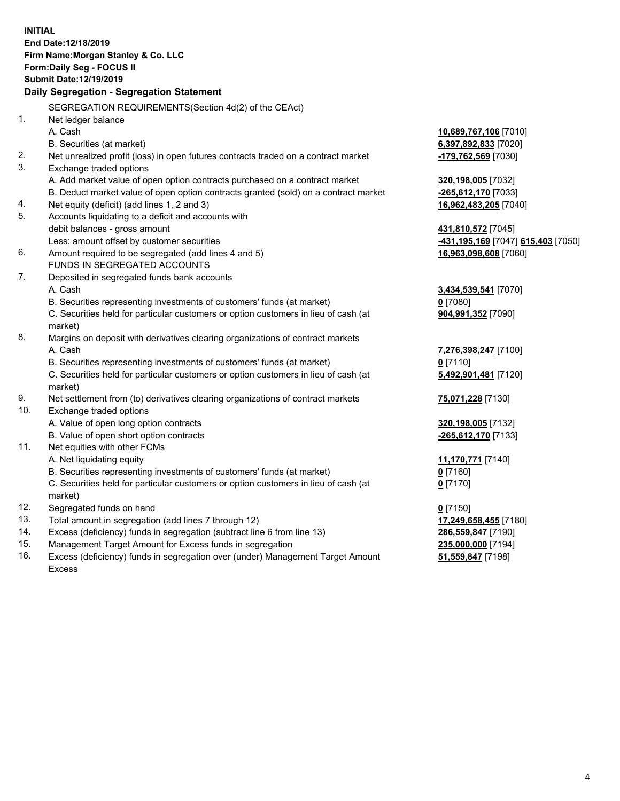**INITIAL End Date:12/18/2019 Firm Name:Morgan Stanley & Co. LLC Form:Daily Seg - FOCUS II Submit Date:12/19/2019 Daily Segregation - Segregation Statement** SEGREGATION REQUIREMENTS(Section 4d(2) of the CEAct) 1. Net ledger balance A. Cash **10,689,767,106** [7010] B. Securities (at market) **6,397,892,833** [7020] 2. Net unrealized profit (loss) in open futures contracts traded on a contract market **-179,762,569** [7030] 3. Exchange traded options A. Add market value of open option contracts purchased on a contract market **320,198,005** [7032] B. Deduct market value of open option contracts granted (sold) on a contract market **-265,612,170** [7033] 4. Net equity (deficit) (add lines 1, 2 and 3) **16,962,483,205** [7040] 5. Accounts liquidating to a deficit and accounts with debit balances - gross amount **431,810,572** [7045] Less: amount offset by customer securities **-431,195,169** [7047] **615,403** [7050] 6. Amount required to be segregated (add lines 4 and 5) **16,963,098,608** [7060] FUNDS IN SEGREGATED ACCOUNTS 7. Deposited in segregated funds bank accounts A. Cash **3,434,539,541** [7070] B. Securities representing investments of customers' funds (at market) **0** [7080] C. Securities held for particular customers or option customers in lieu of cash (at market) **904,991,352** [7090] 8. Margins on deposit with derivatives clearing organizations of contract markets A. Cash **7,276,398,247** [7100] B. Securities representing investments of customers' funds (at market) **0** [7110] C. Securities held for particular customers or option customers in lieu of cash (at market) **5,492,901,481** [7120] 9. Net settlement from (to) derivatives clearing organizations of contract markets **75,071,228** [7130] 10. Exchange traded options A. Value of open long option contracts **320,198,005** [7132] B. Value of open short option contracts **-265,612,170** [7133] 11. Net equities with other FCMs A. Net liquidating equity **11,170,771** [7140] B. Securities representing investments of customers' funds (at market) **0** [7160] C. Securities held for particular customers or option customers in lieu of cash (at market) **0** [7170] 12. Segregated funds on hand **0** [7150] 13. Total amount in segregation (add lines 7 through 12) **17,249,658,455** [7180] 14. Excess (deficiency) funds in segregation (subtract line 6 from line 13) **286,559,847** [7190] 15. Management Target Amount for Excess funds in segregation **235,000,000** [7194]

16. Excess (deficiency) funds in segregation over (under) Management Target Amount Excess

**51,559,847** [7198]